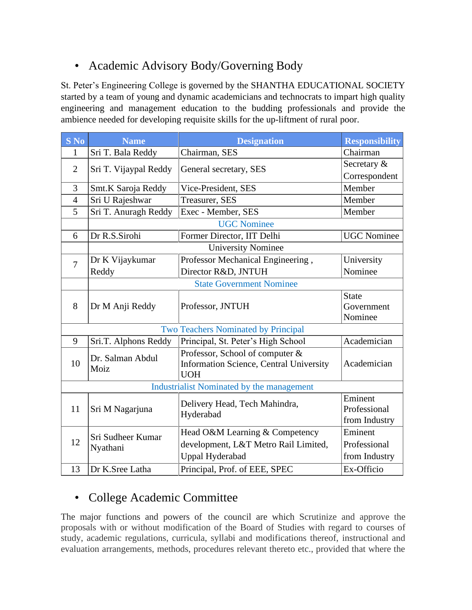# • Academic Advisory Body/Governing Body

St. Peter's Engineering College is governed by the SHANTHA EDUCATIONAL SOCIETY started by a team of young and dynamic academicians and technocrats to impart high quality engineering and management education to the budding professionals and provide the ambience needed for developing requisite skills for the up-liftment of rural poor.

| $S$ No                                    | <b>Name</b>                     | <b>Designation</b>                      | <b>Responsibility</b> |  |  |
|-------------------------------------------|---------------------------------|-----------------------------------------|-----------------------|--|--|
| $\mathbf{1}$                              | Sri T. Bala Reddy               | Chairman, SES                           | Chairman              |  |  |
| $\overline{2}$                            | Sri T. Vijaypal Reddy           | General secretary, SES                  | Secretary &           |  |  |
|                                           |                                 |                                         | Correspondent         |  |  |
| 3                                         | Smt.K Saroja Reddy              | Vice-President, SES                     | Member                |  |  |
| $\overline{4}$                            | Sri U Rajeshwar                 | Treasurer, SES                          | Member                |  |  |
| 5                                         | Sri T. Anuragh Reddy            | Exec - Member, SES                      | Member                |  |  |
|                                           |                                 | <b>UGC Nominee</b>                      |                       |  |  |
| 6                                         | Dr R.S.Sirohi                   | Former Director, IIT Delhi              | <b>UGC</b> Nominee    |  |  |
|                                           |                                 | <b>University Nominee</b>               |                       |  |  |
| $\overline{7}$                            | Dr K Vijaykumar                 | Professor Mechanical Engineering,       | University            |  |  |
|                                           | Reddy                           | Director R&D, JNTUH                     | Nominee               |  |  |
|                                           | <b>State Government Nominee</b> |                                         |                       |  |  |
|                                           | Dr M Anji Reddy                 | Professor, JNTUH                        | <b>State</b>          |  |  |
| 8                                         |                                 |                                         | Government            |  |  |
|                                           |                                 |                                         | Nominee               |  |  |
|                                           |                                 | Two Teachers Nominated by Principal     |                       |  |  |
| 9                                         | Sri.T. Alphons Reddy            | Principal, St. Peter's High School      | Academician           |  |  |
|                                           | Dr. Salman Abdul                | Professor, School of computer &         |                       |  |  |
| 10                                        | Moiz                            | Information Science, Central University | Academician           |  |  |
|                                           |                                 | <b>UOH</b>                              |                       |  |  |
| Industrialist Nominated by the management |                                 |                                         |                       |  |  |
|                                           |                                 | Delivery Head, Tech Mahindra,           | Eminent               |  |  |
| 11                                        | Sri M Nagarjuna                 | Hyderabad                               | Professional          |  |  |
|                                           |                                 |                                         | from Industry         |  |  |
|                                           | Sri Sudheer Kumar               | Head O&M Learning & Competency          | Eminent               |  |  |
| 12                                        | Nyathani                        | development, L&T Metro Rail Limited,    | Professional          |  |  |
|                                           |                                 | <b>Uppal Hyderabad</b>                  | from Industry         |  |  |
| 13                                        | Dr K.Sree Latha                 | Principal, Prof. of EEE, SPEC           | Ex-Officio            |  |  |

# • College Academic Committee

The major functions and powers of the council are which Scrutinize and approve the proposals with or without modification of the Board of Studies with regard to courses of study, academic regulations, curricula, syllabi and modifications thereof, instructional and evaluation arrangements, methods, procedures relevant thereto etc., provided that where the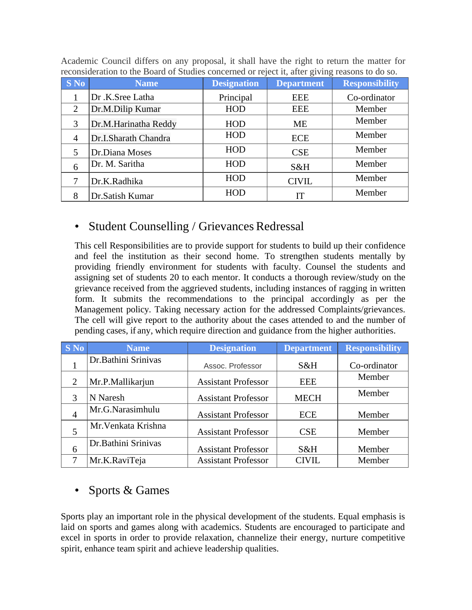|                | reconstructured to the Doutu of Diuthes concerned of reject h, and giving reasons to up so. |                    |                   |                       |  |
|----------------|---------------------------------------------------------------------------------------------|--------------------|-------------------|-----------------------|--|
| <b>S</b> No    | <b>Name</b>                                                                                 | <b>Designation</b> | <b>Department</b> | <b>Responsibility</b> |  |
|                | Dr.K.Sree Latha                                                                             | Principal          | <b>EEE</b>        | Co-ordinator          |  |
| 2              | Dr.M.Dilip Kumar                                                                            | <b>HOD</b>         | EEE               | Member                |  |
| 3              | Dr.M.Harinatha Reddy                                                                        | <b>HOD</b>         | ME                | Member                |  |
| $\overline{4}$ | Dr.I.Sharath Chandra                                                                        | <b>HOD</b>         | <b>ECE</b>        | Member                |  |
| 5              | Dr.Diana Moses                                                                              | <b>HOD</b>         | <b>CSE</b>        | Member                |  |
| 6              | Dr. M. Saritha                                                                              | <b>HOD</b>         | S&H               | Member                |  |
| 7              | Dr.K.Radhika                                                                                | <b>HOD</b>         | <b>CIVIL</b>      | Member                |  |
| 8              | Dr.Satish Kumar                                                                             | <b>HOD</b>         | IT                | Member                |  |

Academic Council differs on any proposal, it shall have the right to return the matter for reconsideration to the Board of Studies concerned or reject it, after giving reasons to do so.

# • Student Counselling / Grievances Redressal

This cell Responsibilities are to provide support for students to build up their confidence and feel the institution as their second home. To strengthen students mentally by providing friendly environment for students with faculty. Counsel the students and assigning set of students 20 to each mentor. It conducts a thorough review/study on the grievance received from the aggrieved students, including instances of ragging in written form. It submits the recommendations to the principal accordingly as per the Management policy. Taking necessary action for the addressed Complaints/grievances. The cell will give report to the authority about the cases attended to and the number of pending cases, if any, which require direction and guidance from the higher authorities.

| <b>S</b> No    | <b>Name</b>         | <b>Designation</b>         | <b>Department</b> | <b>Responsibility</b> |
|----------------|---------------------|----------------------------|-------------------|-----------------------|
|                | Dr.Bathini Srinivas | Assoc. Professor           | S&H               | Co-ordinator          |
| $\overline{2}$ | Mr.P.Mallikarjun    | <b>Assistant Professor</b> | <b>EEE</b>        | Member                |
| 3              | N Naresh            | <b>Assistant Professor</b> | <b>MECH</b>       | Member                |
| $\overline{4}$ | Mr.G.Narasimhulu    | <b>Assistant Professor</b> | <b>ECE</b>        | Member                |
|                | Mr. Venkata Krishna | <b>Assistant Professor</b> | <b>CSE</b>        | Member                |
| 6              | Dr.Bathini Srinivas | <b>Assistant Professor</b> | S&H               | Member                |
| 7              | Mr.K.RaviTeja       | <b>Assistant Professor</b> | <b>CIVIL</b>      | Member                |

# • Sports & Games

Sports play an important role in the physical development of the students. Equal emphasis is laid on sports and games along with academics. Students are encouraged to participate and excel in sports in order to provide relaxation, channelize their energy, nurture competitive spirit, enhance team spirit and achieve leadership qualities.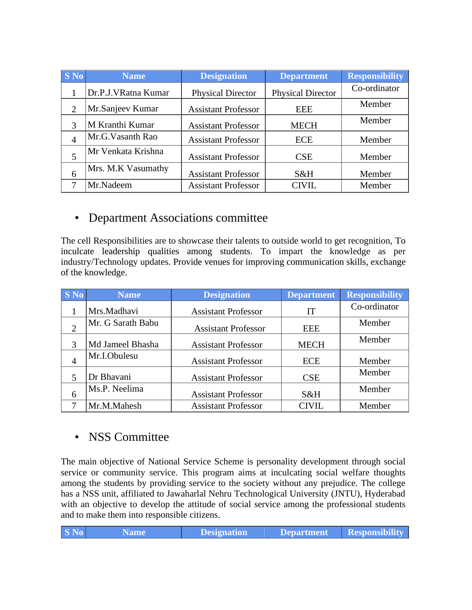| <b>S</b> No    | <b>Name</b>         | <b>Designation</b>         | <b>Department</b>        | <b>Responsibility</b> |
|----------------|---------------------|----------------------------|--------------------------|-----------------------|
|                | Dr.P.J.VRatna Kumar | <b>Physical Director</b>   | <b>Physical Director</b> | Co-ordinator          |
| 2              | Mr.Sanjeev Kumar    | <b>Assistant Professor</b> | EEE                      | Member                |
|                | M Kranthi Kumar     | <b>Assistant Professor</b> | <b>MECH</b>              | Member                |
| $\overline{4}$ | Mr.G.Vasanth Rao    | <b>Assistant Professor</b> | <b>ECE</b>               | Member                |
|                | Mr Venkata Krishna  | <b>Assistant Professor</b> | <b>CSE</b>               | Member                |
| 6              | Mrs. M.K Vasumathy  | <b>Assistant Professor</b> | S&H                      | Member                |
|                | Mr.Nadeem           | <b>Assistant Professor</b> | <b>CIVIL</b>             | Member                |

### • Department Associations committee

The cell Responsibilities are to showcase their talents to outside world to get recognition, To inculcate leadership qualities among students. To impart the knowledge as per industry/Technology updates. Provide venues for improving communication skills, exchange of the knowledge.

| <b>S</b> No | <b>Name</b>       | <b>Designation</b>         | <b>Department</b> | <b>Responsibility</b> |
|-------------|-------------------|----------------------------|-------------------|-----------------------|
|             | Mrs.Madhavi       | <b>Assistant Professor</b> | IT                | Co-ordinator          |
|             | Mr. G Sarath Babu | <b>Assistant Professor</b> | <b>EEE</b>        | Member                |
|             | Md Jameel Bhasha  | <b>Assistant Professor</b> | <b>MECH</b>       | Member                |
| 4           | Mr.I.Obulesu      | <b>Assistant Professor</b> | <b>ECE</b>        | Member                |
|             | Dr Bhavani        | <b>Assistant Professor</b> | <b>CSE</b>        | Member                |
| 6           | Ms.P. Neelima     | <b>Assistant Professor</b> | S&H               | Member                |
|             | Mr.M.Mahesh       | <b>Assistant Professor</b> | CIVIL             | Member                |

### • NSS Committee

The main objective of National Service Scheme is personality development through social service or community service. This program aims at inculcating social welfare thoughts among the students by providing service to the society without any prejudice. The college has a NSS unit, affiliated to Jawaharlal Nehru Technological University (JNTU), Hyderabad with an objective to develop the attitude of social service among the professional students and to make them into responsible citizens.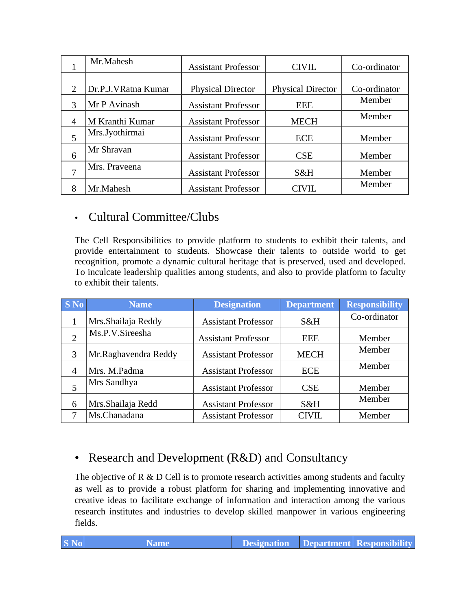|                | Mr.Mahesh           | <b>Assistant Professor</b> | <b>CIVIL</b>             | Co-ordinator |
|----------------|---------------------|----------------------------|--------------------------|--------------|
|                |                     |                            |                          |              |
|                | Dr.P.J.VRatna Kumar | <b>Physical Director</b>   | <b>Physical Director</b> | Co-ordinator |
| 3              | Mr P Avinash        | <b>Assistant Professor</b> | <b>EEE</b>               | Member       |
| $\overline{A}$ | M Kranthi Kumar     | <b>Assistant Professor</b> | <b>MECH</b>              | Member       |
| 5              | Mrs.Jyothirmai      | <b>Assistant Professor</b> | <b>ECE</b>               | Member       |
| 6              | Mr Shravan          | <b>Assistant Professor</b> | <b>CSE</b>               | Member       |
| 7              | Mrs. Praveena       | <b>Assistant Professor</b> | S&H                      | Member       |
|                | Mr.Mahesh           | <b>Assistant Professor</b> | CIVIL                    | Member       |

## • Cultural Committee/Clubs

The Cell Responsibilities to provide platform to students to exhibit their talents, and provide entertainment to students. Showcase their talents to outside world to get recognition, promote a dynamic cultural heritage that is preserved, used and developed. To inculcate leadership qualities among students, and also to provide platform to faculty to exhibit their talents.

| <b>SNO</b>     | <b>Name</b>          | <b>Designation</b>         | <b>Department</b> | <b>Responsibility</b> |
|----------------|----------------------|----------------------------|-------------------|-----------------------|
|                | Mrs. Shailaja Reddy  | <b>Assistant Professor</b> | S&H               | Co-ordinator          |
| $\overline{2}$ | Ms.P.V.Sireesha      | <b>Assistant Professor</b> | <b>EEE</b>        | Member                |
| 3              | Mr.Raghavendra Reddy | <b>Assistant Professor</b> | <b>MECH</b>       | Member                |
| $\overline{A}$ | Mrs. M.Padma         | <b>Assistant Professor</b> | <b>ECE</b>        | Member                |
|                | Mrs Sandhya          | <b>Assistant Professor</b> | <b>CSE</b>        | Member                |
| 6              | Mrs. Shailaja Redd   | <b>Assistant Professor</b> | S&H               | Member                |
|                | Ms.Chanadana         | <b>Assistant Professor</b> | <b>CIVIL</b>      | Member                |

### • Research and Development (R&D) and Consultancy

The objective of R  $\&$  D Cell is to promote research activities among students and faculty as well as to provide a robust platform for sharing and implementing innovative and creative ideas to facilitate exchange of information and interaction among the various research institutes and industries to develop skilled manpower in various engineering fields.

| $ S\ N0 $<br><b>Designation</b> Department Responsibility<br>Name/ |
|--------------------------------------------------------------------|
|--------------------------------------------------------------------|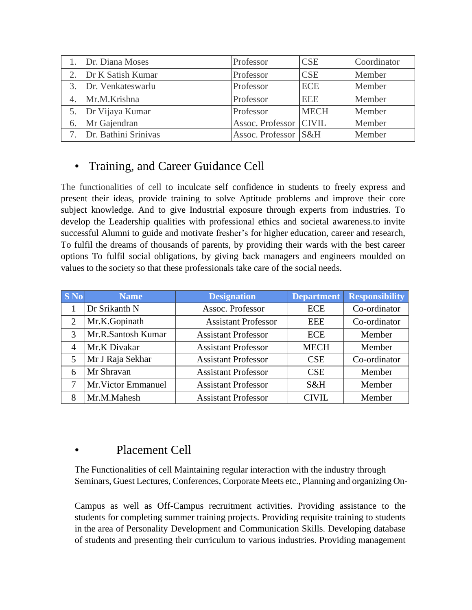|                  | Dr. Diana Moses      | Professor                | <b>CSE</b>  | Coordinator |
|------------------|----------------------|--------------------------|-------------|-------------|
|                  | Dr K Satish Kumar    | Professor                | <b>CSE</b>  | Member      |
| 3.               | Dr. Venkateswarlu    | Professor                | <b>ECE</b>  | Member      |
| $\overline{4}$ . | Mr.M.Krishna         | Professor                | <b>EEE</b>  | Member      |
|                  | Dr Vijaya Kumar      | Professor                | <b>MECH</b> | Member      |
| 6.               | Mr Gajendran         | Assoc. Professor   CIVIL |             | Member      |
|                  | Dr. Bathini Srinivas | Assoc. Professor S&H     |             | Member      |

# • Training, and Career Guidance Cell

The functionalities of cell to inculcate self confidence in students to freely express and present their ideas, provide training to solve Aptitude problems and improve their core subject knowledge. And to give Industrial exposure through experts from industries. To develop the Leadership qualities with professional ethics and societal awareness.to invite successful Alumni to guide and motivate fresher's for higher education, career and research, To fulfil the dreams of thousands of parents, by providing their wards with the best career options To fulfil social obligations, by giving back managers and engineers moulded on values to the society so that these professionals take care of the social needs.

| $S$ No         | <b>Name</b>         | <b>Designation</b>         | <b>Department</b> | <b>Responsibility</b> |
|----------------|---------------------|----------------------------|-------------------|-----------------------|
|                | Dr Srikanth N       | Assoc. Professor           | <b>ECE</b>        | Co-ordinator          |
| $\overline{2}$ | Mr.K.Gopinath       | <b>Assistant Professor</b> | <b>EEE</b>        | Co-ordinator          |
| 3              | Mr.R.Santosh Kumar  | <b>Assistant Professor</b> | <b>ECE</b>        | Member                |
| $\overline{4}$ | Mr.K Divakar        | <b>Assistant Professor</b> | <b>MECH</b>       | Member                |
| 5              | Mr J Raja Sekhar    | <b>Assistant Professor</b> | <b>CSE</b>        | Co-ordinator          |
| 6              | Mr Shravan          | <b>Assistant Professor</b> | <b>CSE</b>        | Member                |
| 7              | Mr. Victor Emmanuel | <b>Assistant Professor</b> | S&H               | Member                |
| 8              | Mr.M.Mahesh         | <b>Assistant Professor</b> | <b>CIVIL</b>      | Member                |

### Placement Cell

The Functionalities of cell Maintaining regular interaction with the industry through Seminars, Guest Lectures, Conferences, Corporate Meets etc., Planning and organizing On-

Campus as well as Off-Campus recruitment activities. Providing assistance to the students for completing summer training projects. Providing requisite training to students in the area of Personality Development and Communication Skills. Developing database of students and presenting their curriculum to various industries. Providing management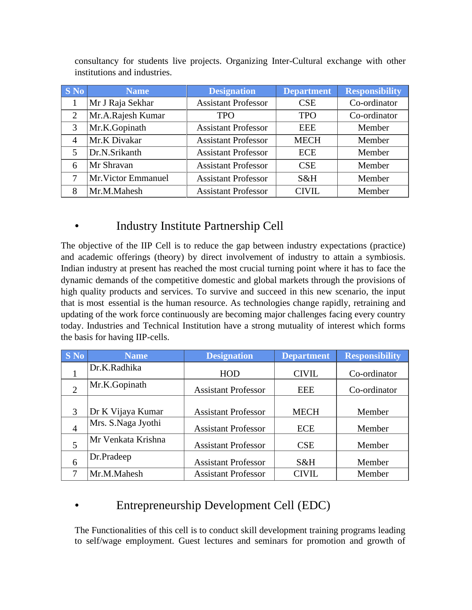| <b>S</b> No | <b>Name</b>         | <b>Designation</b>         | <b>Department</b> | <b>Responsibility</b> |
|-------------|---------------------|----------------------------|-------------------|-----------------------|
|             | Mr J Raja Sekhar    | <b>Assistant Professor</b> | <b>CSE</b>        | Co-ordinator          |
| 2           | Mr.A.Rajesh Kumar   | <b>TPO</b>                 | <b>TPO</b>        | Co-ordinator          |
| 3           | Mr.K.Gopinath       | <b>Assistant Professor</b> | <b>EEE</b>        | Member                |
| 4           | Mr.K Divakar        | <b>Assistant Professor</b> | <b>MECH</b>       | Member                |
| 5           | Dr.N.Srikanth       | <b>Assistant Professor</b> | <b>ECE</b>        | Member                |
| 6           | Mr Shravan          | <b>Assistant Professor</b> | <b>CSE</b>        | Member                |
| 7           | Mr. Victor Emmanuel | <b>Assistant Professor</b> | S&H               | Member                |
| 8           | Mr.M.Mahesh         | <b>Assistant Professor</b> | CIVIL             | Member                |

consultancy for students live projects. Organizing Inter-Cultural exchange with other institutions and industries.

# • Industry Institute Partnership Cell

The objective of the IIP Cell is to reduce the gap between industry expectations (practice) and academic offerings (theory) by direct involvement of industry to attain a symbiosis. Indian industry at present has reached the most crucial turning point where it has to face the dynamic demands of the competitive domestic and global markets through the provisions of high quality products and services. To survive and succeed in this new scenario, the input that is most essential is the human resource. As technologies change rapidly, retraining and updating of the work force continuously are becoming major challenges facing every country today. Industries and Technical Institution have a strong mutuality of interest which forms the basis for having IIP-cells.

| <b>S</b> No    | <b>Name</b>        | <b>Designation</b>         | <b>Department</b> | <b>Responsibility</b> |
|----------------|--------------------|----------------------------|-------------------|-----------------------|
|                | Dr.K.Radhika       | <b>HOD</b>                 | <b>CIVIL</b>      | Co-ordinator          |
| 2              | Mr.K.Gopinath      | <b>Assistant Professor</b> | <b>EEE</b>        | Co-ordinator          |
| 3              | Dr K Vijaya Kumar  | <b>Assistant Professor</b> | <b>MECH</b>       | Member                |
| $\overline{4}$ | Mrs. S.Naga Jyothi | <b>Assistant Professor</b> | <b>ECE</b>        | Member                |
| 5              | Mr Venkata Krishna | <b>Assistant Professor</b> | <b>CSE</b>        | Member                |
| 6              | Dr.Pradeep         | <b>Assistant Professor</b> | S&H               | Member                |
|                | Mr.M.Mahesh        | <b>Assistant Professor</b> | <b>CIVIL</b>      | Member                |

# • Entrepreneurship Development Cell (EDC)

The Functionalities of this cell is to conduct skill development training programs leading to self/wage employment. Guest lectures and seminars for promotion and growth of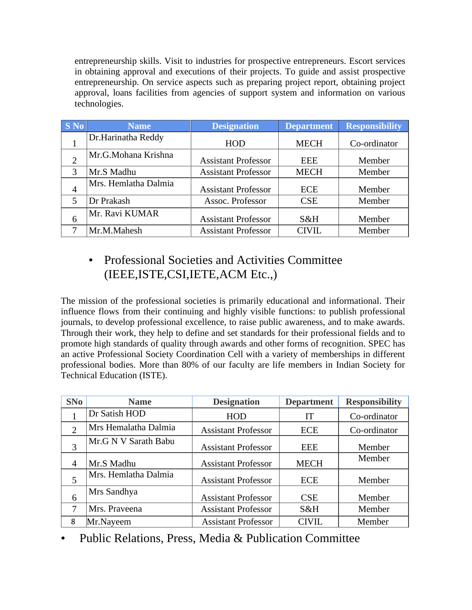entrepreneurship skills. Visit to industries for prospective entrepreneurs. Escort services in obtaining approval and executions of their projects. To guide and assist prospective entrepreneurship. On service aspects such as preparing project report, obtaining project approval, loans facilities from agencies of support system and information on various technologies.

| <b>S</b> No    | <b>Name</b>          | <b>Designation</b>         | <b>Department</b> | <b>Responsibility</b> |
|----------------|----------------------|----------------------------|-------------------|-----------------------|
|                | Dr.Harinatha Reddy   | <b>HOD</b>                 | <b>MECH</b>       | Co-ordinator          |
|                | Mr.G.Mohana Krishna  | <b>Assistant Professor</b> | EEE               | Member                |
| $\mathcal{R}$  | Mr.S Madhu           | <b>Assistant Professor</b> | <b>MECH</b>       | Member                |
| $\overline{4}$ | Mrs. Hemlatha Dalmia | <b>Assistant Professor</b> | <b>ECE</b>        | Member                |
| 5              | Dr Prakash           | Assoc. Professor           | CSE               | Member                |
| 6              | Mr. Ravi KUMAR       | <b>Assistant Professor</b> | S&H               | Member                |
|                | Mr.M.Mahesh          | <b>Assistant Professor</b> | <b>CIVIL</b>      | Member                |

# • Professional Societies and Activities Committee (IEEE,ISTE,CSI,IETE,ACM Etc.,)

The mission of the professional societies is primarily educational and informational. Their influence flows from their continuing and highly visible functions: to publish professional journals, to develop professional excellence, to raise public awareness, and to make awards. Through their work, they help to define and set standards for their professional fields and to promote high standards of quality through awards and other forms of recognition. SPEC has an active Professional Society Coordination Cell with a variety of memberships in different professional bodies. More than 80% of our faculty are life members in Indian Society for Technical Education (ISTE).

| SNo            | <b>Name</b>          | <b>Designation</b>         | <b>Department</b> | <b>Responsibility</b> |
|----------------|----------------------|----------------------------|-------------------|-----------------------|
|                | Dr Satish HOD        | <b>HOD</b>                 | IT                | Co-ordinator          |
| $\overline{2}$ | Mrs Hemalatha Dalmia | <b>Assistant Professor</b> | <b>ECE</b>        | Co-ordinator          |
| 3              | Mr.G N V Sarath Babu | <b>Assistant Professor</b> | <b>EEE</b>        | Member                |
| 4              | Mr.S Madhu           | <b>Assistant Professor</b> | <b>MECH</b>       | Member                |
|                | Mrs. Hemlatha Dalmia | <b>Assistant Professor</b> | <b>ECE</b>        | Member                |
| 6              | Mrs Sandhya          | <b>Assistant Professor</b> | <b>CSE</b>        | Member                |
| 7              | Mrs. Praveena        | <b>Assistant Professor</b> | S&H               | Member                |
| 8              | Mr.Nayeem            | <b>Assistant Professor</b> | <b>CIVIL</b>      | Member                |

• Public Relations, Press, Media & Publication Committee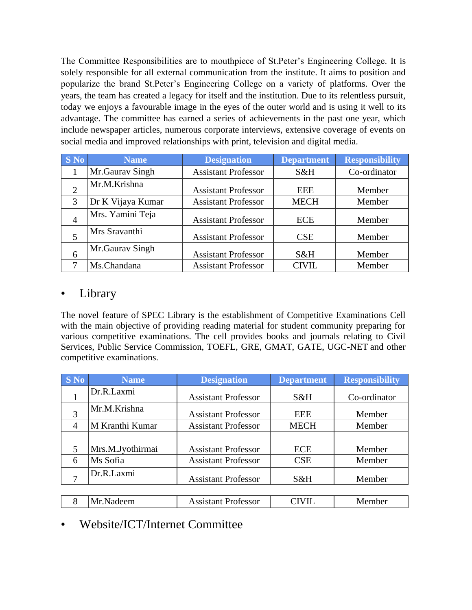The Committee Responsibilities are to mouthpiece of St.Peter's Engineering College. It is solely responsible for all external communication from the institute. It aims to position and popularize the brand St.Peter's Engineering College on a variety of platforms. Over the years, the team has created a legacy for itself and the institution. Due to its relentless pursuit, today we enjoys a favourable image in the eyes of the outer world and is using it well to its advantage. The committee has earned a series of achievements in the past one year, which include newspaper articles, numerous corporate interviews, extensive coverage of events on social media and improved relationships with print, television and digital media.

| $S$ No | <b>Name</b>       | <b>Designation</b>         | <b>Department</b> | <b>Responsibility</b> |
|--------|-------------------|----------------------------|-------------------|-----------------------|
|        | Mr.Gaurav Singh   | <b>Assistant Professor</b> | S&H               | Co-ordinator          |
|        | Mr.M.Krishna      | <b>Assistant Professor</b> | <b>EEE</b>        | Member                |
| 3      | Dr K Vijaya Kumar | <b>Assistant Professor</b> | <b>MECH</b>       | Member                |
|        | Mrs. Yamini Teja  | <b>Assistant Professor</b> | <b>ECE</b>        | Member                |
|        | Mrs Sravanthi     | <b>Assistant Professor</b> | <b>CSE</b>        | Member                |
| 6      | Mr.Gaurav Singh   | <b>Assistant Professor</b> | S&H               | Member                |
|        | Ms.Chandana       | <b>Assistant Professor</b> | <b>CIVIL</b>      | Member                |

#### **Library**

The novel feature of SPEC Library is the establishment of Competitive Examinations Cell with the main objective of providing reading material for student community preparing for various competitive examinations. The cell provides books and journals relating to Civil Services, Public Service Commission, TOEFL, GRE, GMAT, GATE, UGC-NET and other competitive examinations.

| <b>S</b> No | <b>Name</b>      | <b>Designation</b>         | <b>Department</b> | <b>Responsibility</b> |
|-------------|------------------|----------------------------|-------------------|-----------------------|
|             | Dr.R.Laxmi       | <b>Assistant Professor</b> | S&H               | Co-ordinator          |
| 3           | Mr.M.Krishna     | <b>Assistant Professor</b> | <b>EEE</b>        | Member                |
| 4           | M Kranthi Kumar  | <b>Assistant Professor</b> | <b>MECH</b>       | Member                |
|             |                  |                            |                   |                       |
| 5           | Mrs.M.Jyothirmai | <b>Assistant Professor</b> | <b>ECE</b>        | Member                |
| 6           | Ms Sofia         | <b>Assistant Professor</b> | CSE               | Member                |
|             | Dr.R.Laxmi       | <b>Assistant Professor</b> | S&H               | Member                |
|             |                  |                            |                   |                       |
|             | Mr.Nadeem        | <b>Assistant Professor</b> | CIVIL             | Member                |

# • Website/ICT/Internet Committee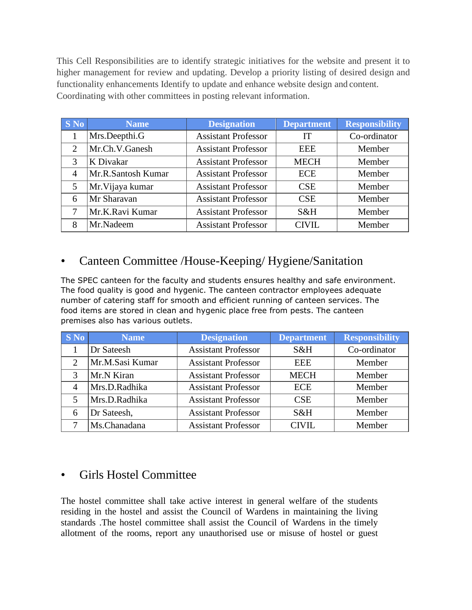This Cell Responsibilities are to identify strategic initiatives for the website and present it to higher management for review and updating. Develop a priority listing of desired design and functionality enhancements Identify to update and enhance website design and content. Coordinating with other committees in posting relevant information.

| $S$ No                      | <b>Name</b>        | <b>Designation</b>         | <b>Department</b> | <b>Responsibility</b> |
|-----------------------------|--------------------|----------------------------|-------------------|-----------------------|
|                             | Mrs.Deepthi.G      | <b>Assistant Professor</b> | IT                | Co-ordinator          |
| $\mathcal{D}_{\mathcal{L}}$ | Mr.Ch.V.Ganesh     | <b>Assistant Professor</b> | <b>EEE</b>        | Member                |
| 3                           | K Divakar          | <b>Assistant Professor</b> | <b>MECH</b>       | Member                |
| 4                           | Mr.R.Santosh Kumar | <b>Assistant Professor</b> | <b>ECE</b>        | Member                |
| 5                           | Mr. Vijaya kumar   | <b>Assistant Professor</b> | <b>CSE</b>        | Member                |
| 6                           | Mr Sharavan        | <b>Assistant Professor</b> | <b>CSE</b>        | Member                |
| 7                           | Mr.K.Ravi Kumar    | <b>Assistant Professor</b> | $S\&H$            | Member                |
| 8                           | Mr.Nadeem          | <b>Assistant Professor</b> | <b>CIVIL</b>      | Member                |

# • Canteen Committee /House-Keeping/ Hygiene/Sanitation

The SPEC canteen for the faculty and students ensures healthy and safe environment. The food quality is good and hygenic. The canteen contractor employees adequate number of catering staff for smooth and efficient running of canteen services. The food items are stored in clean and hygenic place free from pests. The canteen premises also has various outlets.

| $S$ No         | <b>Name</b>     | <b>Designation</b>         | <b>Department</b> | <b>Responsibility</b> |
|----------------|-----------------|----------------------------|-------------------|-----------------------|
|                | Dr Sateesh      | <b>Assistant Professor</b> | S&H               | Co-ordinator          |
| ∍              | Mr.M.Sasi Kumar | <b>Assistant Professor</b> | <b>EEE</b>        | Member                |
| 3              | Mr.N Kiran      | <b>Assistant Professor</b> | <b>MECH</b>       | Member                |
| $\overline{4}$ | Mrs.D.Radhika   | <b>Assistant Professor</b> | <b>ECE</b>        | Member                |
| 5              | Mrs.D.Radhika   | <b>Assistant Professor</b> | <b>CSE</b>        | Member                |
| 6              | Dr Sateesh,     | <b>Assistant Professor</b> | S&H               | Member                |
|                | Ms.Chanadana    | <b>Assistant Professor</b> | CIVIL             | Member                |

### • Girls Hostel Committee

The hostel committee shall take active interest in general welfare of the students residing in the hostel and assist the Council of Wardens in maintaining the living standards .The hostel committee shall assist the Council of Wardens in the timely allotment of the rooms, report any unauthorised use or misuse of hostel or guest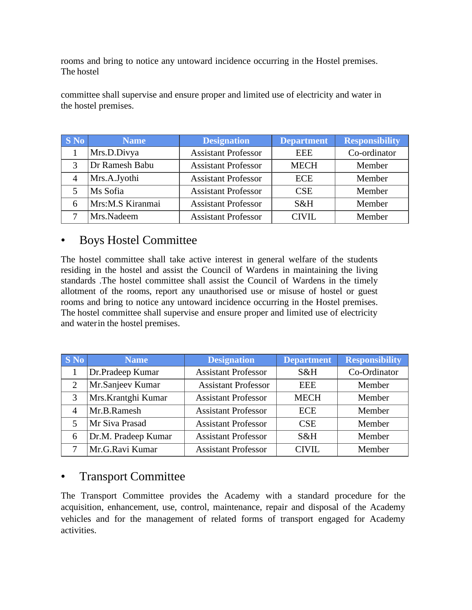rooms and bring to notice any untoward incidence occurring in the Hostel premises. The hostel

committee shall supervise and ensure proper and limited use of electricity and water in the hostel premises.

| S No | <b>Name</b>      | <b>Designation</b>         | <b>Department</b> | <b>Responsibility</b> |
|------|------------------|----------------------------|-------------------|-----------------------|
|      | Mrs.D.Divya      | <b>Assistant Professor</b> | <b>EEE</b>        | Co-ordinator          |
| 3    | Dr Ramesh Babu   | <b>Assistant Professor</b> | <b>MECH</b>       | Member                |
| 4    | Mrs.A.Jyothi     | <b>Assistant Professor</b> | <b>ECE</b>        | Member                |
|      | Ms Sofia         | <b>Assistant Professor</b> | <b>CSE</b>        | Member                |
|      | Mrs:M.S Kiranmai | <b>Assistant Professor</b> | S&H               | Member                |
|      | Mrs.Nadeem       | <b>Assistant Professor</b> | CIVII.            | Member                |

#### • Boys Hostel Committee

The hostel committee shall take active interest in general welfare of the students residing in the hostel and assist the Council of Wardens in maintaining the living standards .The hostel committee shall assist the Council of Wardens in the timely allotment of the rooms, report any unauthorised use or misuse of hostel or guest rooms and bring to notice any untoward incidence occurring in the Hostel premises. The hostel committee shall supervise and ensure proper and limited use of electricity and waterin the hostel premises.

| <b>S</b> No | <b>Name</b>         | <b>Designation</b>         | <b>Department</b> | <b>Responsibility</b> |
|-------------|---------------------|----------------------------|-------------------|-----------------------|
|             | Dr.Pradeep Kumar    | <b>Assistant Professor</b> | S&H               | Co-Ordinator          |
| 2           | Mr.Sanjeev Kumar    | <b>Assistant Professor</b> | <b>EEE</b>        | Member                |
| 3           | Mrs.Krantghi Kumar  | <b>Assistant Professor</b> | <b>MECH</b>       | Member                |
|             | Mr.B.Ramesh         | <b>Assistant Professor</b> | <b>ECE</b>        | Member                |
| 5           | Mr Siva Prasad      | <b>Assistant Professor</b> | <b>CSE</b>        | Member                |
| 6           | Dr.M. Pradeep Kumar | <b>Assistant Professor</b> | $S\&H$            | Member                |
|             | Mr.G.Ravi Kumar     | <b>Assistant Professor</b> | <b>CIVIL</b>      | Member                |

#### • Transport Committee

The Transport Committee provides the Academy with a standard procedure for the acquisition, enhancement, use, control, maintenance, repair and disposal of the Academy vehicles and for the management of related forms of transport engaged for Academy activities.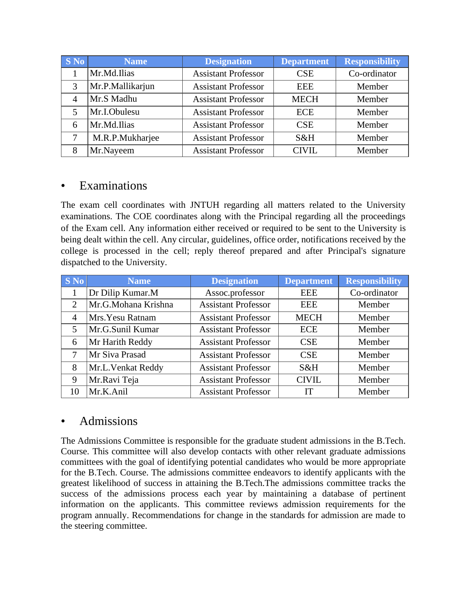| <b>S</b> No | <b>Name</b>      | <b>Designation</b>         | <b>Department</b> | <b>Responsibility</b> |
|-------------|------------------|----------------------------|-------------------|-----------------------|
|             | Mr.Md.Ilias      | <b>Assistant Professor</b> | <b>CSE</b>        | Co-ordinator          |
| 3           | Mr.P.Mallikarjun | <b>Assistant Professor</b> | <b>EEE</b>        | Member                |
| 4           | Mr.S Madhu       | <b>Assistant Professor</b> | <b>MECH</b>       | Member                |
| 5           | Mr.I.Obulesu     | <b>Assistant Professor</b> | <b>ECE</b>        | Member                |
| 6           | Mr.Md.Ilias      | <b>Assistant Professor</b> | <b>CSE</b>        | Member                |
| 7           | M.R.P.Mukharjee  | <b>Assistant Professor</b> | S&H               | Member                |
| 8           | Mr.Nayeem        | <b>Assistant Professor</b> | CIVIL             | Member                |

#### • Examinations

The exam cell coordinates with JNTUH regarding all matters related to the University examinations. The COE coordinates along with the Principal regarding all the proceedings of the Exam cell. Any information either received or required to be sent to the University is being dealt within the cell. Any circular, guidelines, office order, notifications received by the college is processed in the cell; reply thereof prepared and after Principal's signature dispatched to the University.

| <b>S</b> No                 | <b>Name</b>         | <b>Designation</b>         | <b>Department</b> | <b>Responsibility</b> |
|-----------------------------|---------------------|----------------------------|-------------------|-----------------------|
|                             | Dr Dilip Kumar.M    | Assoc.professor            | <b>EEE</b>        | Co-ordinator          |
| $\mathcal{D}_{\mathcal{L}}$ | Mr.G.Mohana Krishna | <b>Assistant Professor</b> | <b>EEE</b>        | Member                |
| 4                           | Mrs. Yesu Ratnam    | <b>Assistant Professor</b> | <b>MECH</b>       | Member                |
| 5                           | Mr.G.Sunil Kumar    | <b>Assistant Professor</b> | <b>ECE</b>        | Member                |
| 6                           | Mr Harith Reddy     | <b>Assistant Professor</b> | <b>CSE</b>        | Member                |
| 7                           | Mr Siva Prasad      | <b>Assistant Professor</b> | <b>CSE</b>        | Member                |
| 8                           | Mr.L.Venkat Reddy   | <b>Assistant Professor</b> | S&H               | Member                |
| 9                           | Mr.Ravi Teja        | <b>Assistant Professor</b> | <b>CIVIL</b>      | Member                |
| 10                          | Mr.K.Anil           | <b>Assistant Professor</b> | IТ                | Member                |

#### • Admissions

The Admissions Committee is responsible for the graduate student admissions in the B.Tech. Course. This committee will also develop contacts with other relevant graduate admissions committees with the goal of identifying potential candidates who would be more appropriate for the B.Tech. Course. The admissions committee endeavors to identify applicants with the greatest likelihood of success in attaining the B.Tech.The admissions committee tracks the success of the admissions process each year by maintaining a database of pertinent information on the applicants. This committee reviews admission requirements for the program annually. Recommendations for change in the standards for admission are made to the steering committee.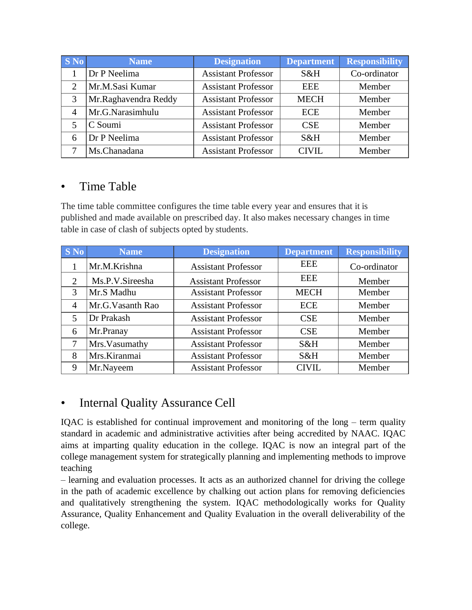| <b>S</b> No           | <b>Name</b>          | <b>Designation</b>         | <b>Department</b> | <b>Responsibility</b> |
|-----------------------|----------------------|----------------------------|-------------------|-----------------------|
|                       | Dr P Neelima         | <b>Assistant Professor</b> | S&H               | Co-ordinator          |
| $\mathcal{D}_{\cdot}$ | Mr.M.Sasi Kumar      | <b>Assistant Professor</b> | <b>EEE</b>        | Member                |
| 3                     | Mr.Raghavendra Reddy | <b>Assistant Professor</b> | <b>MECH</b>       | Member                |
|                       | Mr.G.Narasimhulu     | <b>Assistant Professor</b> | <b>ECE</b>        | Member                |
| 5                     | C Soumi              | <b>Assistant Professor</b> | <b>CSE</b>        | Member                |
| 6                     | Dr P Neelima         | <b>Assistant Professor</b> | S&H               | Member                |
|                       | Ms.Chanadana         | <b>Assistant Professor</b> | <b>CIVIL</b>      | Member                |

#### • Time Table

The time table committee configures the time table every year and ensures that it is published and made available on prescribed day. It also makes necessary changes in time table in case of clash of subjects opted by students.

| <b>S</b> No    | <b>Name</b>       | <b>Designation</b>         | <b>Department</b> | <b>Responsibility</b> |
|----------------|-------------------|----------------------------|-------------------|-----------------------|
|                | Mr.M.Krishna      | <b>Assistant Professor</b> | <b>EEE</b>        | Co-ordinator          |
| 2              | Ms.P.V.Sireesha   | <b>Assistant Professor</b> | EEE               | Member                |
| 3              | Mr.S Madhu        | <b>Assistant Professor</b> | <b>MECH</b>       | Member                |
| $\overline{4}$ | Mr.G. Vasanth Rao | <b>Assistant Professor</b> | <b>ECE</b>        | Member                |
| 5              | Dr Prakash        | <b>Assistant Professor</b> | <b>CSE</b>        | Member                |
| 6              | Mr.Pranay         | <b>Assistant Professor</b> | <b>CSE</b>        | Member                |
| 7              | Mrs. Vasumathy    | <b>Assistant Professor</b> | S&H               | Member                |
| 8              | Mrs.Kiranmai      | <b>Assistant Professor</b> | S&H               | Member                |
| 9              | Mr.Nayeem         | <b>Assistant Professor</b> | <b>CIVIL</b>      | Member                |

### • Internal Quality Assurance Cell

IQAC is established for continual improvement and monitoring of the long – term quality standard in academic and administrative activities after being accredited by NAAC. IQAC aims at imparting quality education in the college. IQAC is now an integral part of the college management system for strategically planning and implementing methods to improve teaching

– learning and evaluation processes. It acts as an authorized channel for driving the college in the path of academic excellence by chalking out action plans for removing deficiencies and qualitatively strengthening the system. IQAC methodologically works for Quality Assurance, Quality Enhancement and Quality Evaluation in the overall deliverability of the college.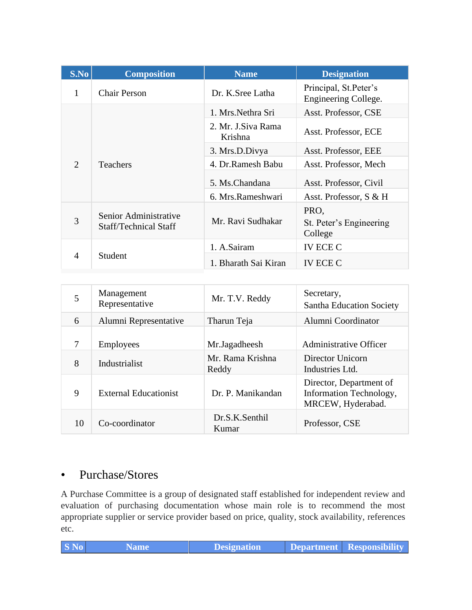| S.No                        | <b>Composition</b>                                    | <b>Name</b>                   | <b>Designation</b>                            |
|-----------------------------|-------------------------------------------------------|-------------------------------|-----------------------------------------------|
| 1                           | <b>Chair Person</b>                                   | Dr. K.Sree Latha              | Principal, St.Peter's<br>Engineering College. |
|                             |                                                       | 1. Mrs. Nethra Sri            | Asst. Professor, CSE                          |
|                             |                                                       | 2. Mr. J.Siva Rama<br>Krishna | Asst. Professor, ECE                          |
|                             |                                                       | 3. Mrs.D.Divya                | Asst. Professor, EEE                          |
| $\mathcal{D}_{\mathcal{L}}$ | <b>Teachers</b>                                       | 4. Dr.Ramesh Babu             | Asst. Professor, Mech                         |
|                             |                                                       | 5. Ms.Chandana                | Asst. Professor, Civil                        |
|                             |                                                       | 6. Mrs.Rameshwari             | Asst. Professor, S & H                        |
| 3                           | Senior Administrative<br><b>Staff/Technical Staff</b> | Mr. Ravi Sudhakar             | PRO,<br>St. Peter's Engineering<br>College    |
|                             |                                                       | 1. A.Sairam                   | <b>IV ECE C</b>                               |
| 4                           | Student                                               | 1. Bharath Sai Kiran          | IV ECE C                                      |

| 5  | Management<br>Representative | Mr. T.V. Reddy            | Secretary,<br><b>Santha Education Society</b>                           |
|----|------------------------------|---------------------------|-------------------------------------------------------------------------|
| 6  | Alumni Representative        | Tharun Teja               | Alumni Coordinator                                                      |
| 7  | Employees                    | Mr.Jagadheesh             | <b>Administrative Officer</b>                                           |
| 8  | Industrialist                | Mr. Rama Krishna<br>Reddy | Director Unicorn<br>Industries Ltd.                                     |
| 9  | <b>External Educationist</b> | Dr. P. Manikandan         | Director, Department of<br>Information Technology,<br>MRCEW, Hyderabad. |
| 10 | Co-coordinator               | Dr.S.K.Senthil<br>Kumar   | Professor, CSE                                                          |

#### • Purchase/Stores

A Purchase Committee is a group of designated staff established for independent review and evaluation of purchasing documentation whose main role is to recommend the most appropriate supplier or service provider based on price, quality, stock availability, references etc.

| $\vert$ S No $\vert$<br><b>Name</b> | <b>Designation</b> |  | Department   Responsibility |
|-------------------------------------|--------------------|--|-----------------------------|
|-------------------------------------|--------------------|--|-----------------------------|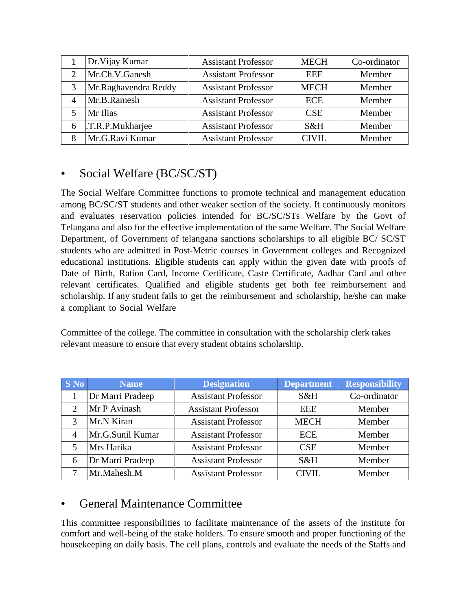|   | Dr. Vijay Kumar      | <b>Assistant Professor</b> | <b>MECH</b> | Co-ordinator |
|---|----------------------|----------------------------|-------------|--------------|
|   | Mr.Ch.V.Ganesh       | <b>Assistant Professor</b> | <b>EEE</b>  | Member       |
|   | Mr.Raghavendra Reddy | <b>Assistant Professor</b> | <b>MECH</b> | Member       |
|   | Mr.B.Ramesh          | <b>Assistant Professor</b> | <b>ECE</b>  | Member       |
|   | Mr Ilias             | <b>Assistant Professor</b> | <b>CSE</b>  | Member       |
| 6 | .T.R.P.Mukharjee     | <b>Assistant Professor</b> | S&H         | Member       |
|   | Mr.G.Ravi Kumar      | <b>Assistant Professor</b> | CIVII.      | Member       |

## • Social Welfare (BC/SC/ST)

The Social Welfare Committee functions to promote technical and management education among BC/SC/ST students and other weaker section of the society. It continuously monitors and evaluates reservation policies intended for BC/SC/STs Welfare by the Govt of Telangana and also for the effective implementation of the same Welfare. The Social Welfare Department, of Government of telangana sanctions scholarships to all eligible BC/ SC/ST students who are admitted in Post-Metric courses in Government colleges and Recognized educational institutions. Eligible students can apply within the given date with proofs of Date of Birth, Ration Card, Income Certificate, Caste Certificate, Aadhar Card and other relevant certificates. Qualified and eligible students get both fee reimbursement and scholarship. If any student fails to get the reimbursement and scholarship, he/she can make a compliant to Social Welfare

Committee of the college. The committee in consultation with the scholarship clerk takes relevant measure to ensure that every student obtains scholarship.

| $S$ No                      | Name             | <b>Designation</b>         | <b>Department</b> | <b>Responsibility</b> |
|-----------------------------|------------------|----------------------------|-------------------|-----------------------|
|                             | Dr Marri Pradeep | <b>Assistant Professor</b> | S&H               | Co-ordinator          |
| $\mathcal{D}_{\mathcal{L}}$ | Mr P Avinash     | <b>Assistant Professor</b> | <b>EEE</b>        | Member                |
| 3                           | Mr.N Kiran       | <b>Assistant Professor</b> | <b>MECH</b>       | Member                |
| $\overline{A}$              | Mr.G.Sunil Kumar | <b>Assistant Professor</b> | <b>ECE</b>        | Member                |
| 5                           | Mrs Harika       | <b>Assistant Professor</b> | <b>CSE</b>        | Member                |
| 6                           | Dr Marri Pradeep | <b>Assistant Professor</b> | $S\&H$            | Member                |
|                             | Mr.Mahesh.M      | <b>Assistant Professor</b> | <b>CIVIL</b>      | Member                |

# • General Maintenance Committee

This committee responsibilities to facilitate maintenance of the assets of the institute for comfort and well-being of the stake holders. To ensure smooth and proper functioning of the housekeeping on daily basis. The cell plans, controls and evaluate the needs of the Staffs and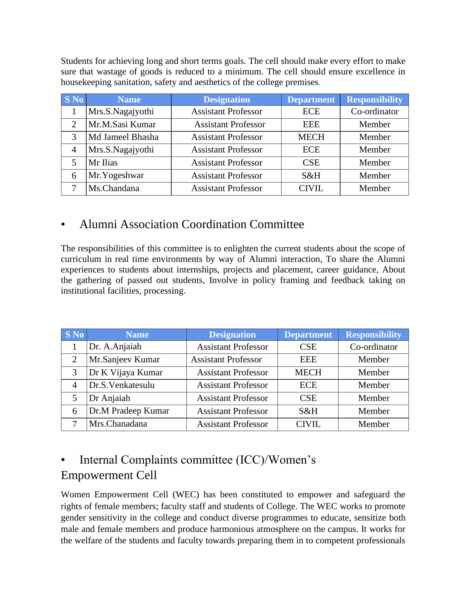Students for achieving long and short terms goals. The cell should make every effort to make sure that wastage of goods is reduced to a minimum. The cell should ensure excellence in housekeeping sanitation, safety and aesthetics of the college premises.

| <b>S</b> No | <b>Name</b>      | <b>Designation</b>         | <b>Department</b> | <b>Responsibility</b> |
|-------------|------------------|----------------------------|-------------------|-----------------------|
|             | Mrs.S.Nagajyothi | <b>Assistant Professor</b> | <b>ECE</b>        | Co-ordinator          |
|             | Mr.M.Sasi Kumar  | <b>Assistant Professor</b> | <b>EEE</b>        | Member                |
| 3           | Md Jameel Bhasha | <b>Assistant Professor</b> | <b>MECH</b>       | Member                |
| 4           | Mrs.S.Nagajyothi | <b>Assistant Professor</b> | <b>ECE</b>        | Member                |
| 5           | Mr Ilias         | <b>Assistant Professor</b> | <b>CSE</b>        | Member                |
| 6           | Mr.Yogeshwar     | <b>Assistant Professor</b> | S&H               | Member                |
|             | Ms.Chandana      | <b>Assistant Professor</b> | <b>CIVIL</b>      | Member                |

### • Alumni Association Coordination Committee

The responsibilities of this committee is to enlighten the current students about the scope of curriculum in real time environments by way of Alumni interaction, To share the Alumni experiences to students about internships, projects and placement, career guidance, About the gathering of passed out students, Involve in policy framing and feedback taking on institutional facilities, processing.

| <b>S</b> No    | <b>Name</b>        | <b>Designation</b>         | <b>Department</b> | <b>Responsibility</b> |
|----------------|--------------------|----------------------------|-------------------|-----------------------|
|                | Dr. A.Anjaiah      | <b>Assistant Professor</b> | <b>CSE</b>        | Co-ordinator          |
| $\overline{2}$ | Mr.Sanjeev Kumar   | <b>Assistant Professor</b> | <b>EEE</b>        | Member                |
| 3              | Dr K Vijaya Kumar  | <b>Assistant Professor</b> | <b>MECH</b>       | Member                |
| $\overline{4}$ | Dr.S.Venkatesulu   | <b>Assistant Professor</b> | <b>ECE</b>        | Member                |
| 5              | Dr Anjaiah         | <b>Assistant Professor</b> | <b>CSE</b>        | Member                |
| 6              | Dr.M Pradeep Kumar | <b>Assistant Professor</b> | S&H               | Member                |
|                | Mrs.Chanadana      | <b>Assistant Professor</b> | <b>CIVIL</b>      | Member                |

# • Internal Complaints committee (ICC)/Women's Empowerment Cell

Women Empowerment Cell (WEC) has been constituted to empower and safeguard the rights of female members; faculty staff and students of College. The WEC works to promote gender sensitivity in the college and conduct diverse programmes to educate, sensitize both male and female members and produce harmonious atmosphere on the campus. It works for the welfare of the students and faculty towards preparing them in to competent professionals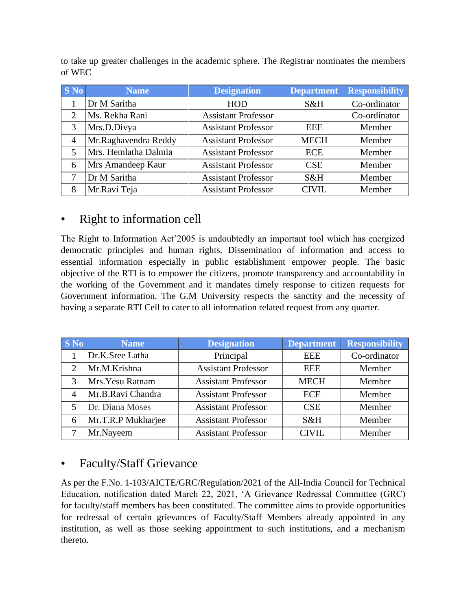to take up greater challenges in the academic sphere. The Registrar nominates the members of WEC

| <b>S</b> No    | <b>Name</b>          | <b>Designation</b>         | <b>Department</b> | <b>Responsibility</b> |
|----------------|----------------------|----------------------------|-------------------|-----------------------|
|                | Dr M Saritha         | <b>HOD</b>                 | S&H               | Co-ordinator          |
| $\overline{2}$ | Ms. Rekha Rani       | <b>Assistant Professor</b> |                   | Co-ordinator          |
| 3              | Mrs.D.Divya          | <b>Assistant Professor</b> | <b>EEE</b>        | Member                |
| $\overline{4}$ | Mr.Raghavendra Reddy | <b>Assistant Professor</b> | <b>MECH</b>       | Member                |
|                | Mrs. Hemlatha Dalmia | <b>Assistant Professor</b> | <b>ECE</b>        | Member                |
| 6              | Mrs Amandeep Kaur    | <b>Assistant Professor</b> | <b>CSE</b>        | Member                |
|                | Dr M Saritha         | <b>Assistant Professor</b> | S&H               | Member                |
| 8              | Mr.Ravi Teja         | <b>Assistant Professor</b> | <b>CIVIL</b>      | Member                |

### • Right to information cell

The Right to Information Act'2005 is undoubtedly an important tool which has energized democratic principles and human rights. Dissemination of information and access to essential information especially in public establishment empower people. The basic objective of the RTI is to empower the citizens, promote transparency and accountability in the working of the Government and it mandates timely response to citizen requests for Government information. The G.M University respects the sanctity and the necessity of having a separate RTI Cell to cater to all information related request from any quarter.

| $\mathbf{S}$ No             | <b>Name</b>        | <b>Designation</b>         | <b>Department</b> | <b>Responsibility</b> |
|-----------------------------|--------------------|----------------------------|-------------------|-----------------------|
|                             | Dr.K.Sree Latha    | Principal                  | <b>EEE</b>        | Co-ordinator          |
| $\mathcal{D}_{\mathcal{L}}$ | Mr.M.Krishna       | <b>Assistant Professor</b> | <b>EEE</b>        | Member                |
| 3                           | Mrs. Yesu Ratnam   | <b>Assistant Professor</b> | <b>MECH</b>       | Member                |
|                             | Mr.B.Ravi Chandra  | <b>Assistant Professor</b> | <b>ECE</b>        | Member                |
| $\overline{\mathbf{5}}$     | Dr. Diana Moses    | <b>Assistant Professor</b> | <b>CSE</b>        | Member                |
| 6                           | Mr.T.R.P Mukharjee | <b>Assistant Professor</b> | S&H               | Member                |
|                             | Mr.Nayeem          | <b>Assistant Professor</b> | <b>CIVIL</b>      | Member                |

# • Faculty/Staff Grievance

As per the F.No. 1-103/AICTE/GRC/Regulation/2021 of the All-India Council for Technical Education, notification dated March 22, 2021, 'A Grievance Redressal Committee (GRC) for faculty/staff members has been constituted. The committee aims to provide opportunities for redressal of certain grievances of Faculty/Staff Members already appointed in any institution, as well as those seeking appointment to such institutions, and a mechanism thereto.